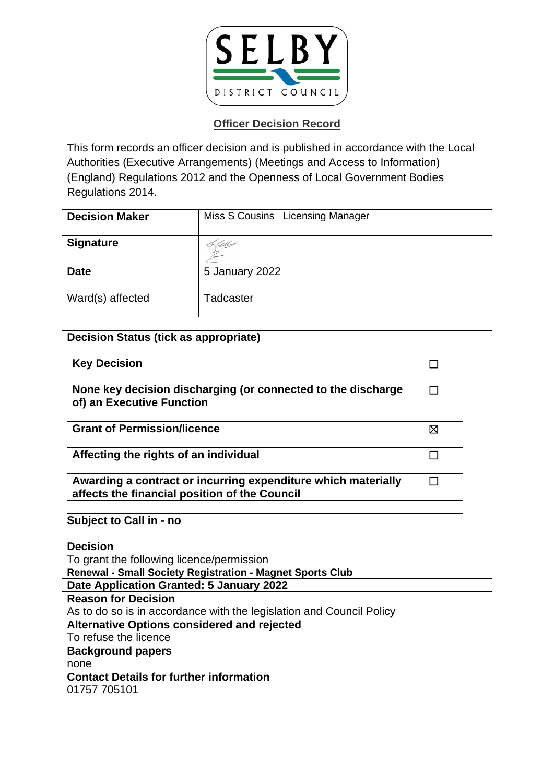

| <b>Decision Maker</b> | Miss S Cousins Licensing Manager |
|-----------------------|----------------------------------|
| <b>Signature</b>      | Litt                             |
| <b>Date</b>           | 5 January 2022                   |
| Ward(s) affected      | Tadcaster                        |

| <b>Decision Status (tick as appropriate)</b>                                                                   |        |  |
|----------------------------------------------------------------------------------------------------------------|--------|--|
| <b>Key Decision</b>                                                                                            | $\Box$ |  |
| None key decision discharging (or connected to the discharge<br>of) an Executive Function                      | $\Box$ |  |
| <b>Grant of Permission/licence</b>                                                                             | X      |  |
| Affecting the rights of an individual                                                                          | П      |  |
| Awarding a contract or incurring expenditure which materially<br>affects the financial position of the Council | $\Box$ |  |
| Subject to Call in - no                                                                                        |        |  |
| <b>Decision</b>                                                                                                |        |  |
| To grant the following licence/permission                                                                      |        |  |
| Renewal - Small Society Registration - Magnet Sports Club                                                      |        |  |
| Date Application Granted: 5 January 2022                                                                       |        |  |
| <b>Reason for Decision</b>                                                                                     |        |  |
| As to do so is in accordance with the legislation and Council Policy                                           |        |  |
| <b>Alternative Options considered and rejected</b>                                                             |        |  |
| To refuse the licence                                                                                          |        |  |
| <b>Background papers</b>                                                                                       |        |  |
| none                                                                                                           |        |  |
| <b>Contact Details for further information</b>                                                                 |        |  |
| 01757 705101                                                                                                   |        |  |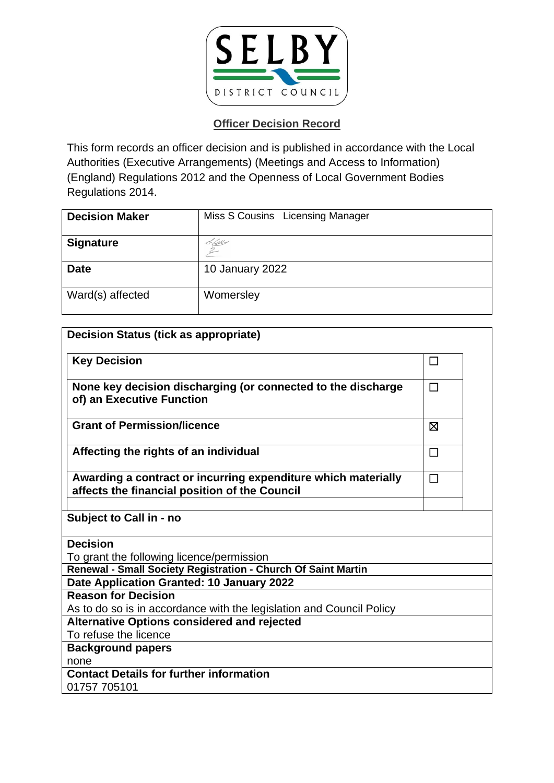

| <b>Decision Maker</b> | Miss S Cousins Licensing Manager |
|-----------------------|----------------------------------|
| <b>Signature</b>      | H Abbey                          |
| <b>Date</b>           | 10 January 2022                  |
| Ward(s) affected      | Womersley                        |

| <b>Decision Status (tick as appropriate)</b>                                                                   |        |  |
|----------------------------------------------------------------------------------------------------------------|--------|--|
| <b>Key Decision</b>                                                                                            | П      |  |
| None key decision discharging (or connected to the discharge<br>of) an Executive Function                      | $\Box$ |  |
| <b>Grant of Permission/licence</b>                                                                             | ⊠      |  |
| Affecting the rights of an individual                                                                          | $\Box$ |  |
| Awarding a contract or incurring expenditure which materially<br>affects the financial position of the Council | П      |  |
| Subject to Call in - no                                                                                        |        |  |
| <b>Decision</b>                                                                                                |        |  |
| To grant the following licence/permission                                                                      |        |  |
| Renewal - Small Society Registration - Church Of Saint Martin                                                  |        |  |
| Date Application Granted: 10 January 2022                                                                      |        |  |
| <b>Reason for Decision</b>                                                                                     |        |  |
| As to do so is in accordance with the legislation and Council Policy                                           |        |  |
| <b>Alternative Options considered and rejected</b>                                                             |        |  |
| To refuse the licence                                                                                          |        |  |
| <b>Background papers</b>                                                                                       |        |  |
| none                                                                                                           |        |  |
| <b>Contact Details for further information</b>                                                                 |        |  |
| 01757 705101                                                                                                   |        |  |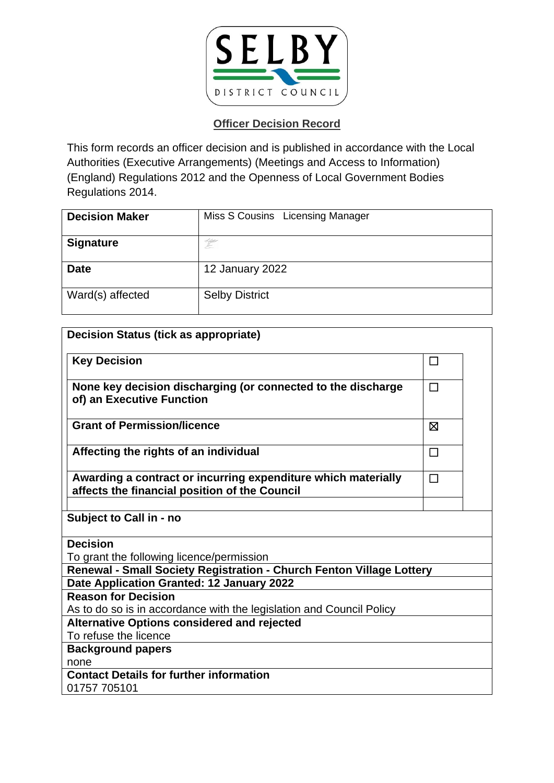

| <b>Decision Maker</b> | Miss S Cousins Licensing Manager |
|-----------------------|----------------------------------|
| <b>Signature</b>      | d typpe<br>E                     |
| <b>Date</b>           | 12 January 2022                  |
| Ward(s) affected      | <b>Selby District</b>            |

| <b>Decision Status (tick as appropriate)</b>                                                                   |        |  |
|----------------------------------------------------------------------------------------------------------------|--------|--|
| <b>Key Decision</b>                                                                                            | □      |  |
| None key decision discharging (or connected to the discharge<br>of) an Executive Function                      | П      |  |
| <b>Grant of Permission/licence</b>                                                                             | ⊠      |  |
| Affecting the rights of an individual                                                                          | □      |  |
| Awarding a contract or incurring expenditure which materially<br>affects the financial position of the Council | $\Box$ |  |
|                                                                                                                |        |  |
| Subject to Call in - no                                                                                        |        |  |
| <b>Decision</b>                                                                                                |        |  |
| To grant the following licence/permission                                                                      |        |  |
| Renewal - Small Society Registration - Church Fenton Village Lottery                                           |        |  |
| Date Application Granted: 12 January 2022                                                                      |        |  |
| <b>Reason for Decision</b>                                                                                     |        |  |
| As to do so is in accordance with the legislation and Council Policy                                           |        |  |
| <b>Alternative Options considered and rejected</b>                                                             |        |  |
| To refuse the licence                                                                                          |        |  |
| <b>Background papers</b>                                                                                       |        |  |
| none                                                                                                           |        |  |
| <b>Contact Details for further information</b>                                                                 |        |  |
| 01757 705101                                                                                                   |        |  |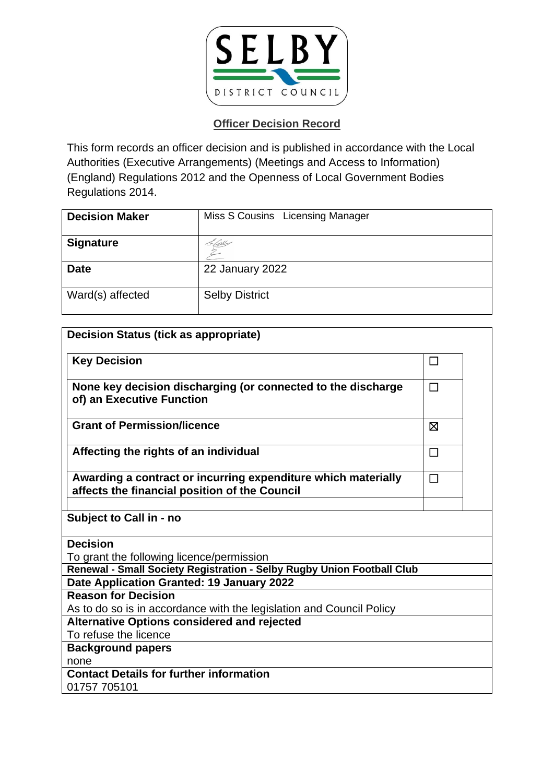

| <b>Decision Maker</b> | Miss S Cousins Licensing Manager |
|-----------------------|----------------------------------|
| <b>Signature</b>      |                                  |
| <b>Date</b>           | 22 January 2022                  |
| Ward(s) affected      | <b>Selby District</b>            |

| <b>Decision Status (tick as appropriate)</b>                                                                   |        |  |
|----------------------------------------------------------------------------------------------------------------|--------|--|
| <b>Key Decision</b>                                                                                            | ப      |  |
| None key decision discharging (or connected to the discharge<br>of) an Executive Function                      | $\Box$ |  |
| <b>Grant of Permission/licence</b>                                                                             | 冈      |  |
| Affecting the rights of an individual                                                                          | $\Box$ |  |
| Awarding a contract or incurring expenditure which materially<br>affects the financial position of the Council | $\Box$ |  |
| Subject to Call in - no                                                                                        |        |  |
| <b>Decision</b>                                                                                                |        |  |
| To grant the following licence/permission                                                                      |        |  |
| Renewal - Small Society Registration - Selby Rugby Union Football Club                                         |        |  |
| Date Application Granted: 19 January 2022                                                                      |        |  |
| <b>Reason for Decision</b>                                                                                     |        |  |
| As to do so is in accordance with the legislation and Council Policy                                           |        |  |
| <b>Alternative Options considered and rejected</b>                                                             |        |  |
| To refuse the licence                                                                                          |        |  |
| <b>Background papers</b>                                                                                       |        |  |
| none                                                                                                           |        |  |
| <b>Contact Details for further information</b>                                                                 |        |  |
| 01757 705101                                                                                                   |        |  |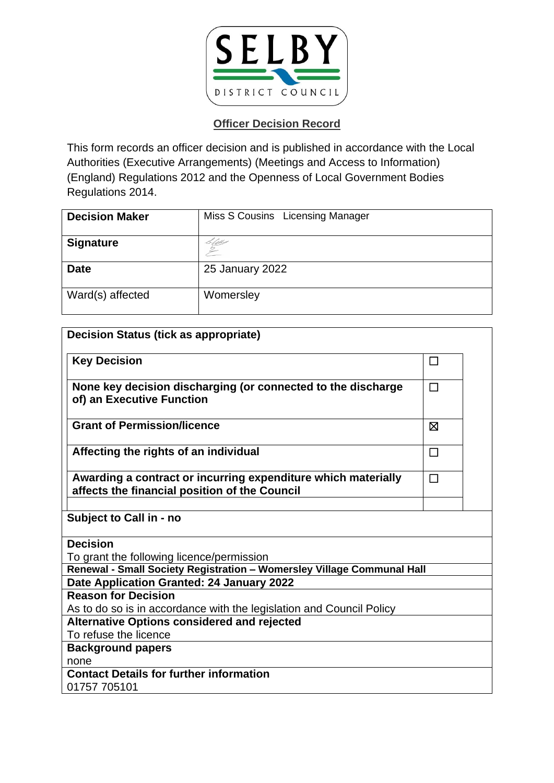

| <b>Decision Maker</b> | Miss S Cousins Licensing Manager |
|-----------------------|----------------------------------|
| <b>Signature</b>      | C Qbb                            |
| <b>Date</b>           | 25 January 2022                  |
| Ward(s) affected      | Womersley                        |

| <b>Decision Status (tick as appropriate)</b>                           |        |  |
|------------------------------------------------------------------------|--------|--|
| <b>Key Decision</b>                                                    | □      |  |
| None key decision discharging (or connected to the discharge           | $\Box$ |  |
| of) an Executive Function                                              |        |  |
| <b>Grant of Permission/licence</b>                                     | ⊠      |  |
| Affecting the rights of an individual                                  | $\Box$ |  |
| Awarding a contract or incurring expenditure which materially          | $\Box$ |  |
| affects the financial position of the Council                          |        |  |
| Subject to Call in - no                                                |        |  |
| <b>Decision</b>                                                        |        |  |
| To grant the following licence/permission                              |        |  |
| Renewal - Small Society Registration - Womersley Village Communal Hall |        |  |
| Date Application Granted: 24 January 2022                              |        |  |
| <b>Reason for Decision</b>                                             |        |  |
| As to do so is in accordance with the legislation and Council Policy   |        |  |
| <b>Alternative Options considered and rejected</b>                     |        |  |
| To refuse the licence                                                  |        |  |
| <b>Background papers</b>                                               |        |  |
| none                                                                   |        |  |
| <b>Contact Details for further information</b>                         |        |  |
| 01757 705101                                                           |        |  |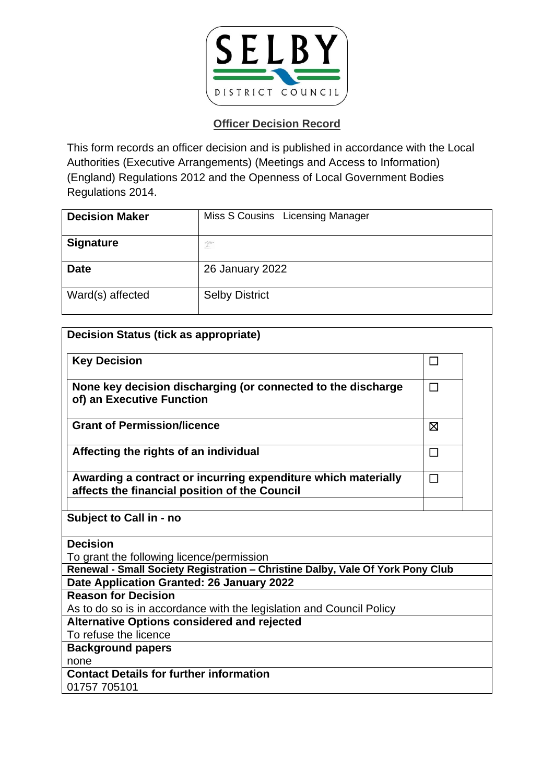

| <b>Decision Maker</b> | Miss S Cousins Licensing Manager |
|-----------------------|----------------------------------|
| <b>Signature</b>      | h lippo<br>L                     |
| <b>Date</b>           | 26 January 2022                  |
| Ward(s) affected      | <b>Selby District</b>            |

| <b>Decision Status (tick as appropriate)</b>                                                                               |        |
|----------------------------------------------------------------------------------------------------------------------------|--------|
| <b>Key Decision</b>                                                                                                        | П      |
| None key decision discharging (or connected to the discharge<br>of) an Executive Function                                  | П      |
| <b>Grant of Permission/licence</b>                                                                                         | ⊠      |
| Affecting the rights of an individual                                                                                      | $\Box$ |
| Awarding a contract or incurring expenditure which materially<br>affects the financial position of the Council             | $\Box$ |
| Subject to Call in - no                                                                                                    |        |
| <b>Decision</b>                                                                                                            |        |
| To grant the following licence/permission                                                                                  |        |
| Renewal - Small Society Registration - Christine Dalby, Vale Of York Pony Club                                             |        |
| Date Application Granted: 26 January 2022                                                                                  |        |
| <b>Reason for Decision</b>                                                                                                 |        |
| As to do so is in accordance with the legislation and Council Policy<br><b>Alternative Options considered and rejected</b> |        |
| To refuse the licence                                                                                                      |        |
| <b>Background papers</b>                                                                                                   |        |
| none                                                                                                                       |        |
| <b>Contact Details for further information</b>                                                                             |        |
| 01757 705101                                                                                                               |        |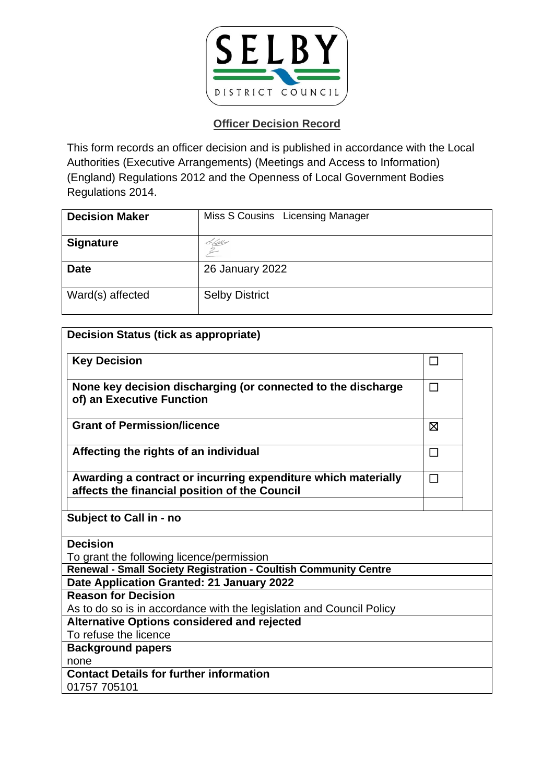

| <b>Decision Maker</b> | Miss S Cousins Licensing Manager |
|-----------------------|----------------------------------|
| <b>Signature</b>      | Saw                              |
| <b>Date</b>           | 26 January 2022                  |
| Ward(s) affected      | <b>Selby District</b>            |

| <b>Decision Status (tick as appropriate)</b>                                                                   |         |  |
|----------------------------------------------------------------------------------------------------------------|---------|--|
| <b>Key Decision</b>                                                                                            | $\perp$ |  |
| None key decision discharging (or connected to the discharge<br>of) an Executive Function                      | $\Box$  |  |
| <b>Grant of Permission/licence</b>                                                                             | ⊠       |  |
| Affecting the rights of an individual                                                                          | $\Box$  |  |
| Awarding a contract or incurring expenditure which materially<br>affects the financial position of the Council | $\Box$  |  |
| Subject to Call in - no                                                                                        |         |  |
| <b>Decision</b>                                                                                                |         |  |
| To grant the following licence/permission                                                                      |         |  |
| Renewal - Small Society Registration - Coultish Community Centre                                               |         |  |
| Date Application Granted: 21 January 2022                                                                      |         |  |
| <b>Reason for Decision</b>                                                                                     |         |  |
| As to do so is in accordance with the legislation and Council Policy                                           |         |  |
| <b>Alternative Options considered and rejected</b>                                                             |         |  |
| To refuse the licence                                                                                          |         |  |
| <b>Background papers</b>                                                                                       |         |  |
| none                                                                                                           |         |  |
| <b>Contact Details for further information</b><br>01757 705101                                                 |         |  |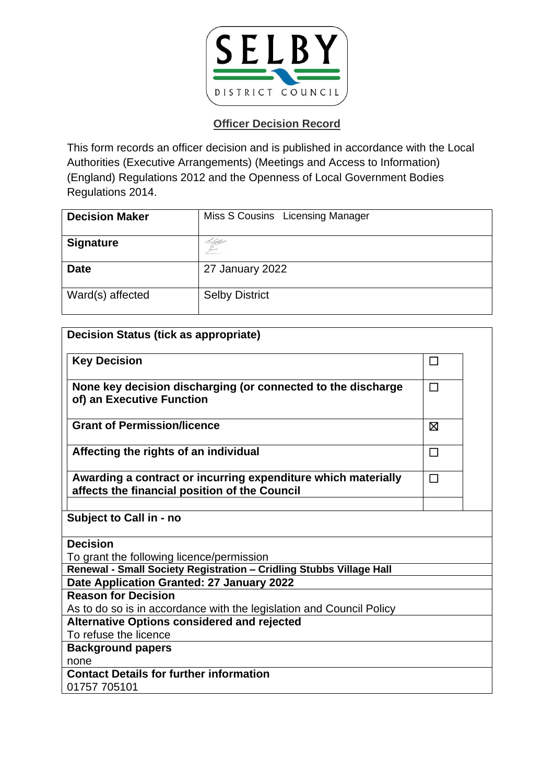

| <b>Decision Maker</b> | Miss S Cousins Licensing Manager |
|-----------------------|----------------------------------|
| <b>Signature</b>      | <u>Lau</u> s                     |
| <b>Date</b>           | 27 January 2022                  |
| Ward(s) affected      | <b>Selby District</b>            |

| <b>Decision Status (tick as appropriate)</b>                                                                   |        |  |
|----------------------------------------------------------------------------------------------------------------|--------|--|
| <b>Key Decision</b>                                                                                            | П      |  |
| None key decision discharging (or connected to the discharge<br>of) an Executive Function                      | П      |  |
| <b>Grant of Permission/licence</b>                                                                             | ⊠      |  |
| Affecting the rights of an individual                                                                          | $\Box$ |  |
| Awarding a contract or incurring expenditure which materially<br>affects the financial position of the Council | П      |  |
| Subject to Call in - no                                                                                        |        |  |
| <b>Decision</b>                                                                                                |        |  |
| To grant the following licence/permission                                                                      |        |  |
| Renewal - Small Society Registration - Cridling Stubbs Village Hall                                            |        |  |
| Date Application Granted: 27 January 2022                                                                      |        |  |
| <b>Reason for Decision</b>                                                                                     |        |  |
| As to do so is in accordance with the legislation and Council Policy                                           |        |  |
| <b>Alternative Options considered and rejected</b>                                                             |        |  |
| To refuse the licence                                                                                          |        |  |
| <b>Background papers</b>                                                                                       |        |  |
| none                                                                                                           |        |  |
| <b>Contact Details for further information</b>                                                                 |        |  |
| 01757 705101                                                                                                   |        |  |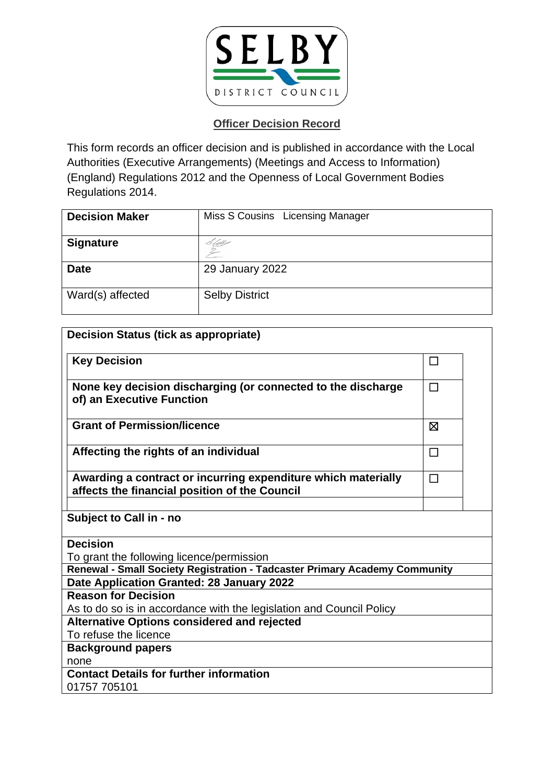

| <b>Decision Maker</b> | Miss S Cousins Licensing Manager |
|-----------------------|----------------------------------|
| <b>Signature</b>      | Stell                            |
| <b>Date</b>           | 29 January 2022                  |
| Ward(s) affected      | <b>Selby District</b>            |

| <b>Decision Status (tick as appropriate)</b>                                                                   |        |  |
|----------------------------------------------------------------------------------------------------------------|--------|--|
| <b>Key Decision</b>                                                                                            | ப      |  |
| None key decision discharging (or connected to the discharge<br>of) an Executive Function                      | $\Box$ |  |
| <b>Grant of Permission/licence</b>                                                                             | 冈      |  |
| Affecting the rights of an individual                                                                          | $\Box$ |  |
| Awarding a contract or incurring expenditure which materially<br>affects the financial position of the Council | $\Box$ |  |
| Subject to Call in - no                                                                                        |        |  |
| <b>Decision</b>                                                                                                |        |  |
| To grant the following licence/permission                                                                      |        |  |
| Renewal - Small Society Registration - Tadcaster Primary Academy Community                                     |        |  |
| Date Application Granted: 28 January 2022                                                                      |        |  |
| <b>Reason for Decision</b>                                                                                     |        |  |
| As to do so is in accordance with the legislation and Council Policy                                           |        |  |
| <b>Alternative Options considered and rejected</b>                                                             |        |  |
| To refuse the licence                                                                                          |        |  |
| <b>Background papers</b>                                                                                       |        |  |
| none                                                                                                           |        |  |
| <b>Contact Details for further information</b>                                                                 |        |  |
| 01757 705101                                                                                                   |        |  |